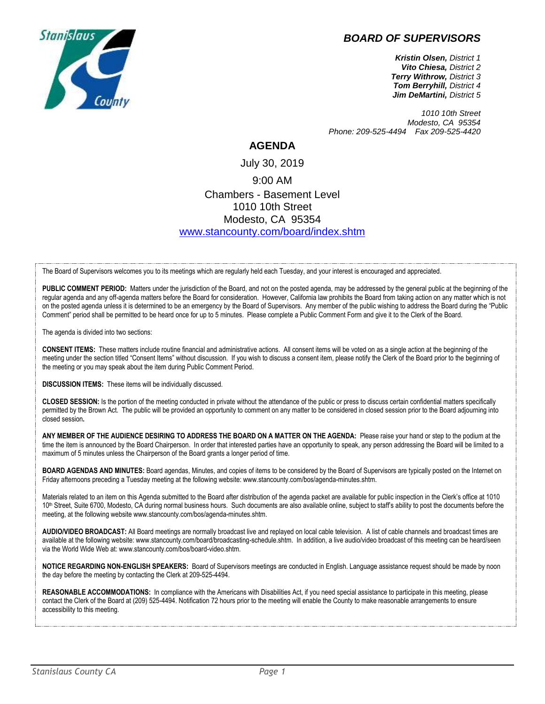## *BOARD OF SUPERVISORS*



*Kristin Olsen, District 1 Vito Chiesa, District 2 Terry Withrow, District 3 Tom Berryhill, District 4 Jim DeMartini, District 5*

*1010 10th Street Modesto, CA 95354 Phone: 209-525-4494 Fax 209-525-4420*

## **AGENDA**

July 30, 2019 9:00 AM Chambers - Basement Level 1010 10th Street Modesto, CA 95354 [www.stancounty.com/board/index.shtm](http://www.stancounty.com/board/index.shtm)

The Board of Supervisors welcomes you to its meetings which are regularly held each Tuesday, and your interest is encouraged and appreciated.

PUBLIC COMMENT PERIOD: Matters under the jurisdiction of the Board, and not on the posted agenda, may be addressed by the general public at the beginning of the regular agenda and any off-agenda matters before the Board for consideration. However, California law prohibits the Board from taking action on any matter which is not on the posted agenda unless it is determined to be an emergency by the Board of Supervisors. Any member of the public wishing to address the Board during the "Public Comment" period shall be permitted to be heard once for up to 5 minutes. Please complete a Public Comment Form and give it to the Clerk of the Board.

The agenda is divided into two sections:

**CONSENT ITEMS:** These matters include routine financial and administrative actions. All consent items will be voted on as a single action at the beginning of the meeting under the section titled "Consent Items" without discussion. If you wish to discuss a consent item, please notify the Clerk of the Board prior to the beginning of the meeting or you may speak about the item during Public Comment Period.

**DISCUSSION ITEMS:** These items will be individually discussed.

**CLOSED SESSION:** Is the portion of the meeting conducted in private without the attendance of the public or press to discuss certain confidential matters specifically permitted by the Brown Act. The public will be provided an opportunity to comment on any matter to be considered in closed session prior to the Board adjourning into closed session**.**

**ANY MEMBER OF THE AUDIENCE DESIRING TO ADDRESS THE BOARD ON A MATTER ON THE AGENDA:** Please raise your hand or step to the podium at the time the item is announced by the Board Chairperson. In order that interested parties have an opportunity to speak, any person addressing the Board will be limited to a maximum of 5 minutes unless the Chairperson of the Board grants a longer period of time.

**BOARD AGENDAS AND MINUTES:** Board agendas, Minutes, and copies of items to be considered by the Board of Supervisors are typically posted on the Internet on Friday afternoons preceding a Tuesday meeting at the following website: www.stancounty.com/bos/agenda-minutes.shtm.

Materials related to an item on this Agenda submitted to the Board after distribution of the agenda packet are available for public inspection in the Clerk's office at 1010 10<sup>th</sup> Street, Suite 6700, Modesto, CA during normal business hours. Such documents are also available online, subject to staff's ability to post the documents before the meeting, at the following website www.stancounty.com/bos/agenda-minutes.shtm.

**AUDIO/VIDEO BROADCAST:** All Board meetings are normally broadcast live and replayed on local cable television. A list of cable channels and broadcast times are available at the following website: www.stancounty.com/board/broadcasting-schedule.shtm. In addition, a live audio/video broadcast of this meeting can be heard/seen via the World Wide Web at: www.stancounty.com/bos/board-video.shtm.

**NOTICE REGARDING NON-ENGLISH SPEAKERS:** Board of Supervisors meetings are conducted in English. Language assistance request should be made by noon the day before the meeting by contacting the Clerk at 209-525-4494.

**REASONABLE ACCOMMODATIONS:** In compliance with the Americans with Disabilities Act, if you need special assistance to participate in this meeting, please contact the Clerk of the Board at (209) 525-4494. Notification 72 hours prior to the meeting will enable the County to make reasonable arrangements to ensure accessibility to this meeting.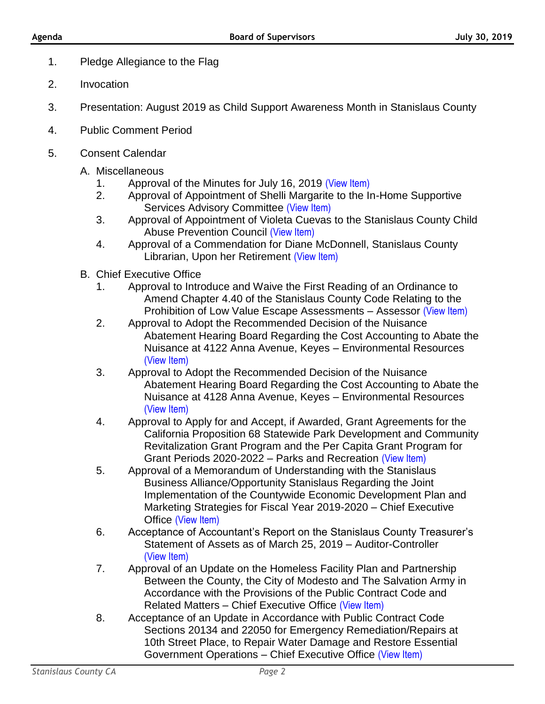- 1. Pledge Allegiance to the Flag
- 2. Invocation
- 3. Presentation: August 2019 as Child Support Awareness Month in Stanislaus County
- 4. Public Comment Period
- 5. Consent Calendar
	- A. Miscellaneous
		- 1. Approval of the Minutes for July 16, 2019 [\(View Item\)](http://stancounty.com/bos/minutes/2019/min07-16-19.pdf)
		- 2. Approval of Appointment of Shelli Margarite to the In-Home Supportive Services Advisory Committee [\(View Item\)](http://stancounty.com/bos/agenda/2019/20190730/A02.pdf)
		- 3. Approval of Appointment of Violeta Cuevas to the Stanislaus County Child Abuse Prevention Council [\(View Item\)](http://stancounty.com/bos/agenda/2019/20190730/A03.pdf)
		- 4. Approval of a Commendation for Diane McDonnell, Stanislaus County Librarian, Upon her Retirement [\(View Item\)](http://stancounty.com/bos/agenda/2019/20190730/A04.pdf)
	- B. Chief Executive Office
		- 1. Approval to Introduce and Waive the First Reading of an Ordinance to Amend Chapter 4.40 of the Stanislaus County Code Relating to the Prohibition of Low Value Escape Assessments - Assessor [\(View Item\)](http://stancounty.com/bos/agenda/2019/20190730/B01.pdf)
		- 2. Approval to Adopt the Recommended Decision of the Nuisance Abatement Hearing Board Regarding the Cost Accounting to Abate the Nuisance at 4122 Anna Avenue, Keyes – Environmental Resources [\(View Item\)](http://stancounty.com/bos/agenda/2019/20190730/B02.pdf)
		- 3. Approval to Adopt the Recommended Decision of the Nuisance Abatement Hearing Board Regarding the Cost Accounting to Abate the Nuisance at 4128 Anna Avenue, Keyes – Environmental Resources [\(View Item\)](http://stancounty.com/bos/agenda/2019/20190730/B03.pdf)
		- 4. Approval to Apply for and Accept, if Awarded, Grant Agreements for the California Proposition 68 Statewide Park Development and Community Revitalization Grant Program and the Per Capita Grant Program for Grant Periods 2020-2022 – Parks and Recreation [\(View Item\)](http://stancounty.com/bos/agenda/2019/20190730/B04.pdf)
		- 5. Approval of a Memorandum of Understanding with the Stanislaus Business Alliance/Opportunity Stanislaus Regarding the Joint Implementation of the Countywide Economic Development Plan and Marketing Strategies for Fiscal Year 2019-2020 – Chief Executive Office [\(View Item\)](http://stancounty.com/bos/agenda/2019/20190730/B05.pdf)
		- 6. Acceptance of Accountant's Report on the Stanislaus County Treasurer's Statement of Assets as of March 25, 2019 – Auditor-Controller [\(View Item\)](http://stancounty.com/bos/agenda/2019/20190730/B06.pdf)
		- 7. Approval of an Update on the Homeless Facility Plan and Partnership Between the County, the City of Modesto and The Salvation Army in Accordance with the Provisions of the Public Contract Code and Related Matters – Chief Executive Office [\(View Item\)](http://stancounty.com/bos/agenda/2019/20190730/B07.pdf)
		- 8. Acceptance of an Update in Accordance with Public Contract Code Sections 20134 and 22050 for Emergency Remediation/Repairs at 10th Street Place, to Repair Water Damage and Restore Essential Government Operations – Chief Executive Office [\(View Item\)](http://stancounty.com/bos/agenda/2019/20190730/B08.pdf)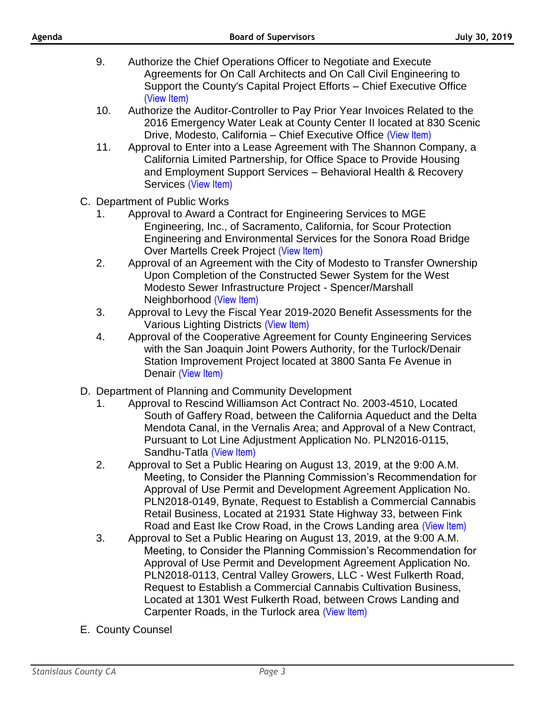- 9. Authorize the Chief Operations Officer to Negotiate and Execute Agreements for On Call Architects and On Call Civil Engineering to Support the County's Capital Project Efforts – Chief Executive Office [\(View Item\)](http://stancounty.com/bos/agenda/2019/20190730/B09.pdf)
- 10. Authorize the Auditor-Controller to Pay Prior Year Invoices Related to the 2016 Emergency Water Leak at County Center II located at 830 Scenic Drive, Modesto, California – Chief Executive Office [\(View Item\)](http://stancounty.com/bos/agenda/2019/20190730/B10.pdf)
- 11. Approval to Enter into a Lease Agreement with The Shannon Company, a California Limited Partnership, for Office Space to Provide Housing and Employment Support Services – Behavioral Health & Recovery Services [\(View Item\)](http://stancounty.com/bos/agenda/2019/20190730/B11.pdf)
- C. Department of Public Works
	- 1. Approval to Award a Contract for Engineering Services to MGE Engineering, Inc., of Sacramento, California, for Scour Protection Engineering and Environmental Services for the Sonora Road Bridge Over Martells Creek Project [\(View Item\)](http://stancounty.com/bos/agenda/2019/20190730/C01.pdf)
	- 2. Approval of an Agreement with the City of Modesto to Transfer Ownership Upon Completion of the Constructed Sewer System for the West Modesto Sewer Infrastructure Project - Spencer/Marshall Neighborhood [\(View Item\)](http://stancounty.com/bos/agenda/2019/20190730/C02.pdf)
	- 3. Approval to Levy the Fiscal Year 2019-2020 Benefit Assessments for the Various Lighting Districts [\(View Item\)](http://stancounty.com/bos/agenda/2019/20190730/C03.pdf)
	- 4. Approval of the Cooperative Agreement for County Engineering Services with the San Joaquin Joint Powers Authority, for the Turlock/Denair Station Improvement Project located at 3800 Santa Fe Avenue in Denair [\(View Item\)](http://stancounty.com/bos/agenda/2019/20190730/C04.pdf)
- D. Department of Planning and Community Development
	- 1. Approval to Rescind Williamson Act Contract No. 2003-4510, Located South of Gaffery Road, between the California Aqueduct and the Delta Mendota Canal, in the Vernalis Area; and Approval of a New Contract, Pursuant to Lot Line Adjustment Application No. PLN2016-0115, Sandhu-Tatla [\(View Item\)](http://stancounty.com/bos/agenda/2019/20190730/D01.pdf)
	- 2. Approval to Set a Public Hearing on August 13, 2019, at the 9:00 A.M. Meeting, to Consider the Planning Commission's Recommendation for Approval of Use Permit and Development Agreement Application No. PLN2018-0149, Bynate, Request to Establish a Commercial Cannabis Retail Business, Located at 21931 State Highway 33, between Fink Road and East Ike Crow Road, in the Crows Landing area [\(View Item\)](http://stancounty.com/bos/agenda/2019/20190730/D02.pdf)
	- 3. Approval to Set a Public Hearing on August 13, 2019, at the 9:00 A.M. Meeting, to Consider the Planning Commission's Recommendation for Approval of Use Permit and Development Agreement Application No. PLN2018-0113, Central Valley Growers, LLC - West Fulkerth Road, Request to Establish a Commercial Cannabis Cultivation Business, Located at 1301 West Fulkerth Road, between Crows Landing and Carpenter Roads, in the Turlock area [\(View Item\)](http://stancounty.com/bos/agenda/2019/20190730/D03.pdf)
- E. County Counsel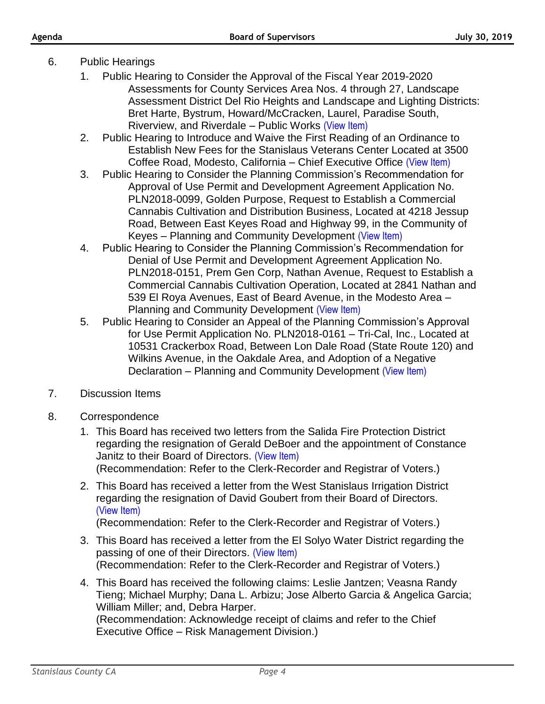- 6. Public Hearings
	- 1. Public Hearing to Consider the Approval of the Fiscal Year 2019-2020 Assessments for County Services Area Nos. 4 through 27, Landscape Assessment District Del Rio Heights and Landscape and Lighting Districts: Bret Harte, Bystrum, Howard/McCracken, Laurel, Paradise South, Riverview, and Riverdale – Public Works [\(View Item\)](http://stancounty.com/bos/agenda/2019/20190730/PH01.pdf)
	- 2. Public Hearing to Introduce and Waive the First Reading of an Ordinance to Establish New Fees for the Stanislaus Veterans Center Located at 3500 Coffee Road, Modesto, California – Chief Executive Office [\(View Item\)](http://stancounty.com/bos/agenda/2019/20190730/PH02.pdf)
	- 3. Public Hearing to Consider the Planning Commission's Recommendation for Approval of Use Permit and Development Agreement Application No. PLN2018-0099, Golden Purpose, Request to Establish a Commercial Cannabis Cultivation and Distribution Business, Located at 4218 Jessup Road, Between East Keyes Road and Highway 99, in the Community of Keyes – Planning and Community Development [\(View Item\)](http://stancounty.com/bos/agenda/2019/20190730/PH03.pdf)
	- 4. Public Hearing to Consider the Planning Commission's Recommendation for Denial of Use Permit and Development Agreement Application No. PLN2018-0151, Prem Gen Corp, Nathan Avenue, Request to Establish a Commercial Cannabis Cultivation Operation, Located at 2841 Nathan and 539 El Roya Avenues, East of Beard Avenue, in the Modesto Area – Planning and Community Development [\(View Item\)](http://stancounty.com/bos/agenda/2019/20190730/PH04.pdf)
	- 5. Public Hearing to Consider an Appeal of the Planning Commission's Approval for Use Permit Application No. PLN2018-0161 – Tri-Cal, Inc., Located at 10531 Crackerbox Road, Between Lon Dale Road (State Route 120) and Wilkins Avenue, in the Oakdale Area, and Adoption of a Negative Declaration – Planning and Community Development [\(View Item\)](http://stancounty.com/bos/agenda/2019/20190730/PH05.pdf)
- 7. Discussion Items
- 8. Correspondence
	- 1. This Board has received two letters from the Salida Fire Protection District regarding the resignation of Gerald DeBoer and the appointment of Constance Janitz to their Board of Directors. [\(View Item\)](http://stancounty.com/bos/agenda/2019/20190730/Corr01.pdf) (Recommendation: Refer to the Clerk-Recorder and Registrar of Voters.)
	- 2. This Board has received a letter from the West Stanislaus Irrigation District regarding the resignation of David Goubert from their Board of Directors. [\(View Item\)](http://stancounty.com/bos/agenda/2019/20190730/Corr02.pdf)

(Recommendation: Refer to the Clerk-Recorder and Registrar of Voters.)

- 3. This Board has received a letter from the El Solyo Water District regarding the passing of one of their Directors. [\(View Item\)](http://stancounty.com/bos/agenda/2019/20190730/Corr03.pdf) (Recommendation: Refer to the Clerk-Recorder and Registrar of Voters.)
- 4. This Board has received the following claims: Leslie Jantzen; Veasna Randy Tieng; Michael Murphy; Dana L. Arbizu; Jose Alberto Garcia & Angelica Garcia; William Miller; and, Debra Harper.

(Recommendation: Acknowledge receipt of claims and refer to the Chief Executive Office – Risk Management Division.)